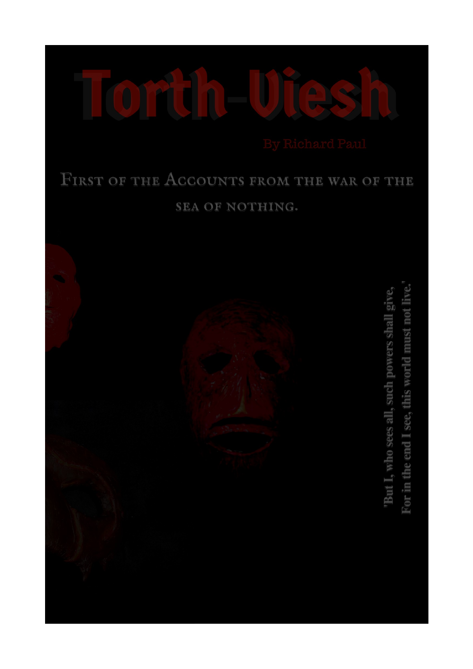

## FIRST OF THE ACCOUNTS FROM THE WAR OF THE SEA OF NOTHING.



For in the end I see, this world must not live. "But I, who sees all, such powers shall give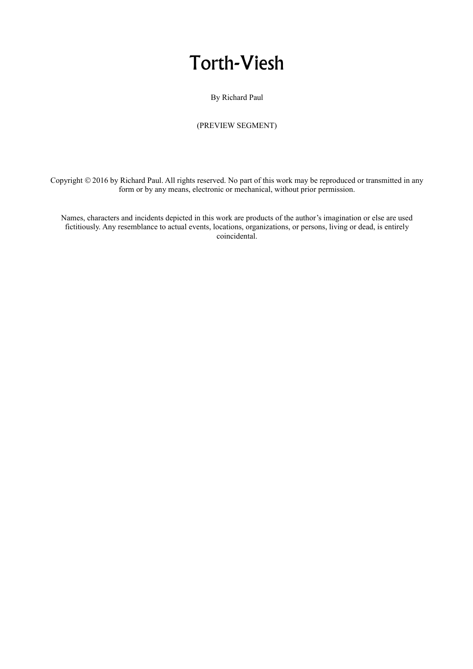## Torth-Viesh

By Richard Paul

### (PREVIEW SEGMENT)

Copyright © 2016 by Richard Paul. All rights reserved. No part of this work may be reproduced or transmitted in any form or by any means, electronic or mechanical, without prior permission.

Names, characters and incidents depicted in this work are products of the author's imagination or else are used fictitiously. Any resemblance to actual events, locations, organizations, or persons, living or dead, is entirely coincidental.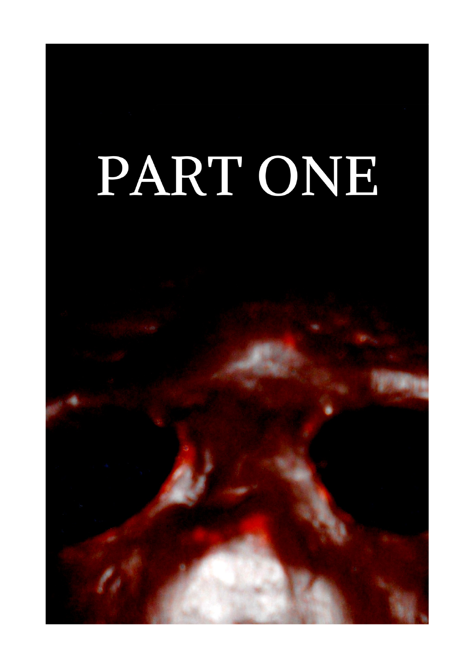# PART ONE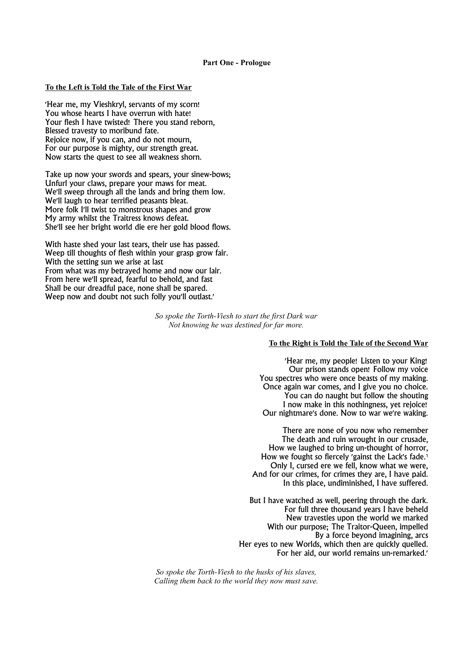#### **To the Left is Told the Tale of the First War**

'Hear me, my Vieshkryl, servants of my scorn! You whose hearts I have overrun with hate! Your flesh I have twisted! There you stand reborn, Blessed travesty to moribund fate. Rejoice now, if you can, and do not mourn, For our purpose is mighty, our strength great. Now starts the quest to see all weakness shorn.

Take up now your swords and spears, your sinew-bows; Unfurl your claws, prepare your maws for meat. We'll sweep through all the lands and bring them low. We'll laugh to hear terrified peasants bleat. More folk I'll twist to monstrous shapes and grow My army whilst the Traitress knows defeat. She'll see her bright world die ere her gold blood flows.

With haste shed your last tears, their use has passed. Weep till thoughts of flesh within your grasp grow fair. With the setting sun we arise at last From what was my betrayed home and now our lair. From here we'll spread, fearful to behold, and fast Shall be our dreadful pace, none shall be spared. Weep now and doubt not such folly you'll outlast.'

> *So spoke the Torth-Viesh to start the first Dark war Not knowing he was destined for far more.*

#### **To the Right is Told the Tale of the Second War**

'Hear me, my people! Listen to your King! Our prison stands open! Follow my voice You spectres who were once beasts of my making. Once again war comes, and I give you no choice. You can do naught but follow the shouting I now make in this nothingness, yet rejoice! Our nightmare's done. Now to war we're waking.

There are none of you now who remember The death and ruin wrought in our crusade, How we laughed to bring un-thought of horror, How we fought so fiercely 'gainst the Lack's fade.<sup>1</sup> Only I, cursed ere we fell, know what we were, And for our crimes, for crimes they are, I have paid. In this place, undiminished, I have suffered.

But I have watched as well, peering through the dark. For full three thousand years I have beheld New travesties upon the world we marked With our purpose; The Traitor-Queen, impelled By a force beyond imagining, arcs Her eyes to new Worlds, which then are quickly quelled. For her aid, our world remains un-remarked.'

*So spoke the Torth-Viesh to the husks of his slaves, Calling them back to the world they now must save.*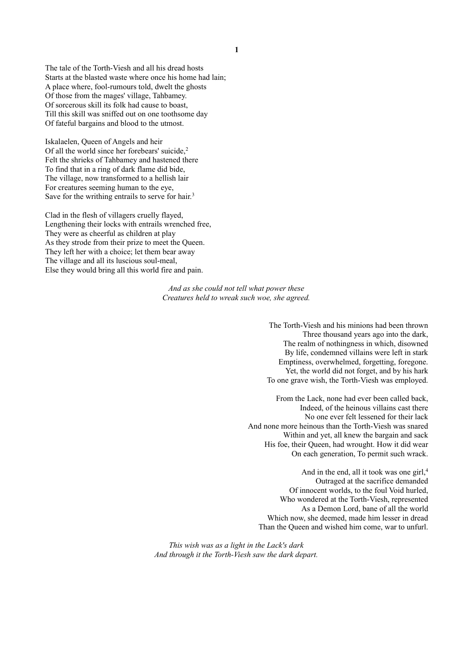The tale of the Torth-Viesh and all his dread hosts Starts at the blasted waste where once his home had lain; A place where, fool-rumours told, dwelt the ghosts Of those from the mages' village, Tahbamey. Of sorcerous skill its folk had cause to boast, Till this skill was sniffed out on one toothsome day Of fateful bargains and blood to the utmost.

Iskalaelen, Queen of Angels and heir Of all the world since her forebears' suicide,<sup>2</sup> Felt the shrieks of Tahbamey and hastened there To find that in a ring of dark flame did bide, The village, now transformed to a hellish lair For creatures seeming human to the eye, Save for the writhing entrails to serve for hair.<sup>3</sup>

Clad in the flesh of villagers cruelly flayed, Lengthening their locks with entrails wrenched free, They were as cheerful as children at play As they strode from their prize to meet the Queen. They left her with a choice; let them bear away The village and all its luscious soul-meal, Else they would bring all this world fire and pain.

> *And as she could not tell what power these Creatures held to wreak such woe, she agreed.*

> > The Torth-Viesh and his minions had been thrown Three thousand years ago into the dark, The realm of nothingness in which, disowned By life, condemned villains were left in stark Emptiness, overwhelmed, forgetting, foregone. Yet, the world did not forget, and by his hark To one grave wish, the Torth-Viesh was employed.

From the Lack, none had ever been called back, Indeed, of the heinous villains cast there No one ever felt lessened for their lack And none more heinous than the Torth-Viesh was snared Within and yet, all knew the bargain and sack His foe, their Queen, had wrought. How it did wear On each generation, To permit such wrack.

And in the end, all it took was one girl,<sup>4</sup> Outraged at the sacrifice demanded Of innocent worlds, to the foul Void hurled, Who wondered at the Torth-Viesh, represented As a Demon Lord, bane of all the world Which now, she deemed, made him lesser in dread Than the Queen and wished him come, war to unfurl.

*This wish was as a light in the Lack's dark And through it the Torth-Viesh saw the dark depart.*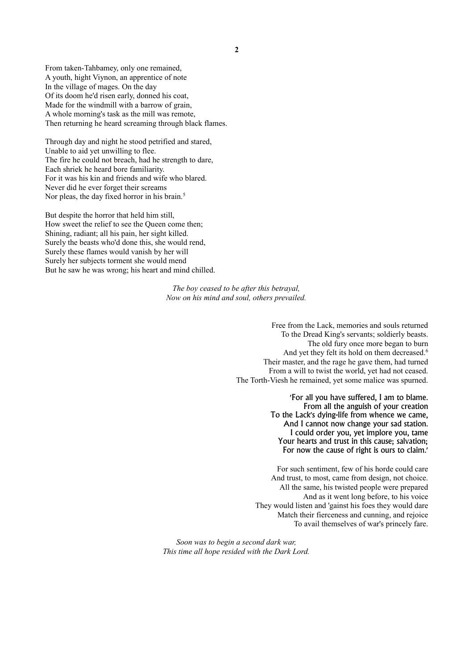**2**

From taken-Tahbamey, only one remained, A youth, hight Viynon, an apprentice of note In the village of mages. On the day Of its doom he'd risen early, donned his coat, Made for the windmill with a barrow of grain, A whole morning's task as the mill was remote, Then returning he heard screaming through black flames.

Through day and night he stood petrified and stared, Unable to aid yet unwilling to flee. The fire he could not breach, had he strength to dare, Each shriek he heard bore familiarity. For it was his kin and friends and wife who blared. Never did he ever forget their screams Nor pleas, the day fixed horror in his brain.<sup>5</sup>

But despite the horror that held him still, How sweet the relief to see the Queen come then; Shining, radiant; all his pain, her sight killed. Surely the beasts who'd done this, she would rend, Surely these flames would vanish by her will Surely her subjects torment she would mend But he saw he was wrong; his heart and mind chilled.

> *The boy ceased to be after this betrayal, Now on his mind and soul, others prevailed.*

> > Free from the Lack, memories and souls returned To the Dread King's servants; soldierly beasts. The old fury once more began to burn And yet they felt its hold on them decreased.<sup>6</sup> Their master, and the rage he gave them, had turned From a will to twist the world, yet had not ceased. The Torth-Viesh he remained, yet some malice was spurned.

> > > 'For all you have suffered, I am to blame. From all the anguish of your creation To the Lack's dying-life from whence we came, And I cannot now change your sad station. I could order you, yet implore you, tame Your hearts and trust in this cause; salvation; For now the cause of right is ours to claim.'

For such sentiment, few of his horde could care And trust, to most, came from design, not choice. All the same, his twisted people were prepared And as it went long before, to his voice They would listen and 'gainst his foes they would dare Match their fierceness and cunning, and rejoice To avail themselves of war's princely fare.

*Soon was to begin a second dark war, This time all hope resided with the Dark Lord.*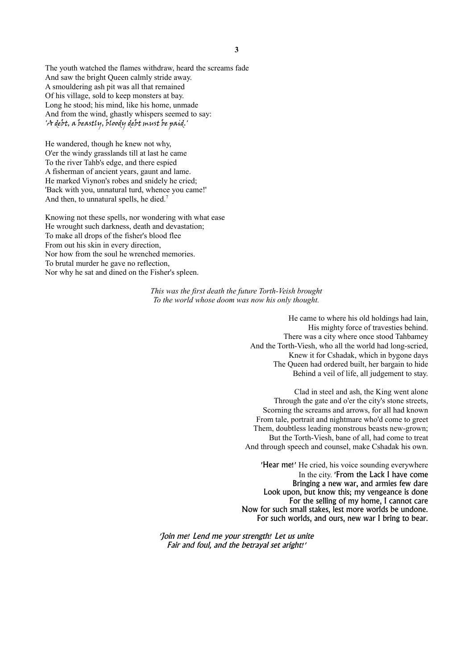The youth watched the flames withdraw, heard the screams fade And saw the bright Queen calmly stride away. A smouldering ash pit was all that remained Of his village, sold to keep monsters at bay. Long he stood; his mind, like his home, unmade And from the wind, ghastly whispers seemed to say: 'A debt, a beastly, bloody debt must be paid.'

He wandered, though he knew not why, O'er the windy grasslands till at last he came To the river Tahb's edge, and there espied A fisherman of ancient years, gaunt and lame. He marked Viynon's robes and snidely he cried; 'Back with you, unnatural turd, whence you came!' And then, to unnatural spells, he died.<sup>7</sup>

Knowing not these spells, nor wondering with what ease He wrought such darkness, death and devastation; To make all drops of the fisher's blood flee From out his skin in every direction, Nor how from the soul he wrenched memories. To brutal murder he gave no reflection, Nor why he sat and dined on the Fisher's spleen.

> *This was the first death the future Torth-Veish brought To the world whose doom was now his only thought.*

> > He came to where his old holdings had lain, His mighty force of travesties behind. There was a city where once stood Tahbamey And the Torth-Viesh, who all the world had long-scried, Knew it for Cshadak, which in bygone days The Queen had ordered built, her bargain to hide Behind a veil of life, all judgement to stay.

Clad in steel and ash, the King went alone Through the gate and o'er the city's stone streets, Scorning the screams and arrows, for all had known From tale, portrait and nightmare who'd come to greet Them, doubtless leading monstrous beasts new-grown; But the Torth-Viesh, bane of all, had come to treat And through speech and counsel, make Cshadak his own.

'Hear me!' He cried, his voice sounding everywhere In the city. 'From the Lack I have come Bringing a new war, and armies few dare Look upon, but know this; my vengeance is done For the selling of my home, I cannot care Now for such small stakes, lest more worlds be undone. For such worlds, and ours, new war I bring to bear.

'Join me! Lend me your strength! Let us unite Fair and foul, and the betrayal set aright!'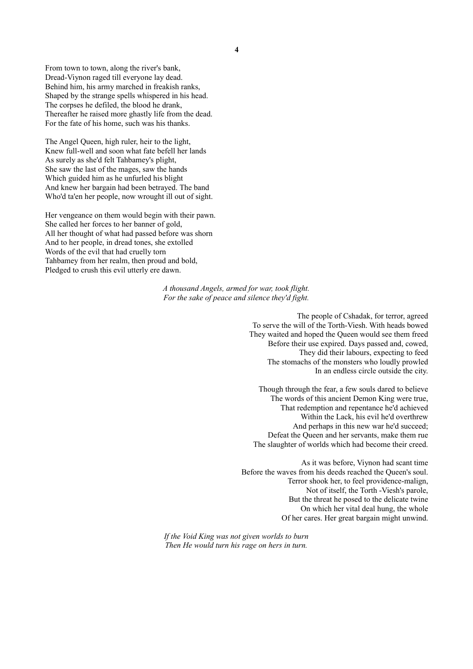From town to town, along the river's bank, Dread-Viynon raged till everyone lay dead. Behind him, his army marched in freakish ranks, Shaped by the strange spells whispered in his head. The corpses he defiled, the blood he drank, Thereafter he raised more ghastly life from the dead. For the fate of his home, such was his thanks.

The Angel Queen, high ruler, heir to the light, Knew full-well and soon what fate befell her lands As surely as she'd felt Tahbamey's plight, She saw the last of the mages, saw the hands Which guided him as he unfurled his blight And knew her bargain had been betrayed. The band Who'd ta'en her people, now wrought ill out of sight.

Her vengeance on them would begin with their pawn. She called her forces to her banner of gold, All her thought of what had passed before was shorn And to her people, in dread tones, she extolled Words of the evil that had cruelly torn Tahbamey from her realm, then proud and bold, Pledged to crush this evil utterly ere dawn.

> *A thousand Angels, armed for war, took flight. For the sake of peace and silence they'd fight.*

> > The people of Cshadak, for terror, agreed To serve the will of the Torth-Viesh. With heads bowed They waited and hoped the Queen would see them freed Before their use expired. Days passed and, cowed, They did their labours, expecting to feed The stomachs of the monsters who loudly prowled In an endless circle outside the city.

Though through the fear, a few souls dared to believe The words of this ancient Demon King were true, That redemption and repentance he'd achieved Within the Lack, his evil he'd overthrew And perhaps in this new war he'd succeed; Defeat the Queen and her servants, make them rue The slaughter of worlds which had become their creed.

As it was before, Viynon had scant time Before the waves from his deeds reached the Queen's soul. Terror shook her, to feel providence-malign, Not of itself, the Torth -Viesh's parole, But the threat he posed to the delicate twine On which her vital deal hung, the whole Of her cares. Her great bargain might unwind.

*If the Void King was not given worlds to burn Then He would turn his rage on hers in turn.*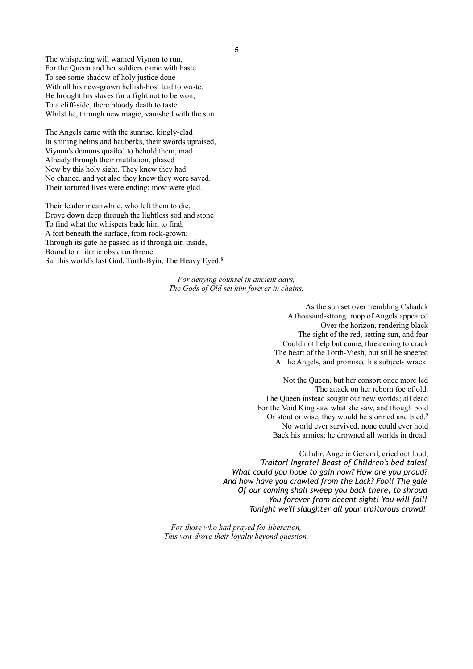**5**

The whispering will warned Viynon to run, For the Queen and her soldiers came with haste To see some shadow of holy justice done With all his new-grown hellish-host laid to waste. He brought his slaves for a fight not to be won, To a cliff-side, there bloody death to taste. Whilst he, through new magic, vanished with the sun.

The Angels came with the sunrise, kingly-clad In shining helms and hauberks, their swords upraised, Viynon's demons quailed to behold them, mad Already through their mutilation, phased Now by this holy sight. They knew they had No chance, and yet also they knew they were saved. Their tortured lives were ending; most were glad.

Their leader meanwhile, who left them to die, Drove down deep through the lightless sod and stone To find what the whispers bade him to find, A fort beneath the surface, from rock-grown; Through its gate he passed as if through air, inside, Bound to a titanic obsidian throne Sat this world's last God, Torth-Byin, The Heavy Eyed.<sup>8</sup>

> *For denying counsel in ancient days, The Gods of Old set him forever in chains.*

> > As the sun set over trembling Cshadak A thousand-strong troop of Angels appeared Over the horizon, rendering black The sight of the red, setting sun, and fear Could not help but come, threatening to crack The heart of the Torth-Viesh, but still he sneered At the Angels, and promised his subjects wrack.

Not the Queen, but her consort once more led The attack on her reborn foe of old. The Queen instead sought out new worlds; all dead For the Void King saw what she saw, and though bold Or stout or wise, they would be stormed and bled.<sup>9</sup> No world ever survived, none could ever hold Back his armies; he drowned all worlds in dread.

Caladir, Angelic General, cried out loud, *'Traitor! Ingrate! Beast of Children's bed-tales! What could you hope to gain now? How are you proud? And how have you crawled from the Lack? Fool! The gale Of our coming shall sweep you back there, to shroud You forever from decent sight! You will fail! Tonight we'll slaughter all your traitorous crowd!'*

*For those who had prayed for liberation, This vow drove their loyalty beyond question.*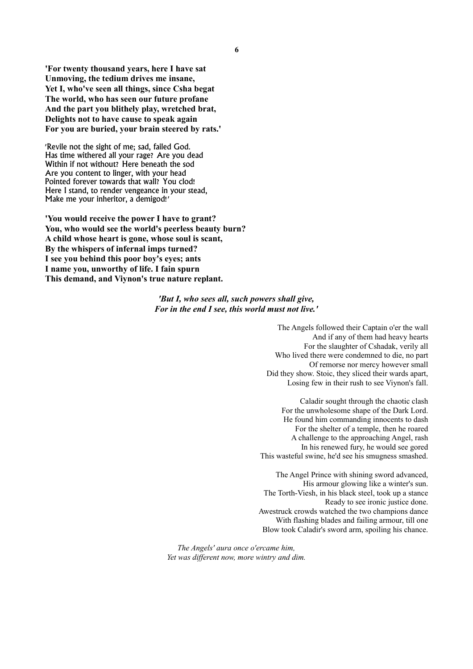**'For twenty thousand years, here I have sat Unmoving, the tedium drives me insane, Yet I, who've seen all things, since Csha begat The world, who has seen our future profane And the part you blithely play, wretched brat, Delights not to have cause to speak again For you are buried, your brain steered by rats.'**

'Revile not the sight of me; sad, failed God. Has time withered all your rage? Are you dead Within if not without? Here beneath the sod Are you content to linger, with your head Pointed forever towards that wall? You clod! Here I stand, to render vengeance in your stead, Make me your inheritor, a demigod!'

**'You would receive the power I have to grant? You, who would see the world's peerless beauty burn? A child whose heart is gone, whose soul is scant, By the whispers of infernal imps turned? I see you behind this poor boy's eyes; ants I name you, unworthy of life. I fain spurn This demand, and Viynon's true nature replant.**

#### *'But I, who sees all, such powers shall give, For in the end I see, this world must not live.'*

The Angels followed their Captain o'er the wall And if any of them had heavy hearts For the slaughter of Cshadak, verily all Who lived there were condemned to die, no part Of remorse nor mercy however small Did they show. Stoic, they sliced their wards apart, Losing few in their rush to see Viynon's fall.

Caladir sought through the chaotic clash For the unwholesome shape of the Dark Lord. He found him commanding innocents to dash For the shelter of a temple, then he roared A challenge to the approaching Angel, rash In his renewed fury, he would see gored This wasteful swine, he'd see his smugness smashed.

The Angel Prince with shining sword advanced, His armour glowing like a winter's sun. The Torth-Viesh, in his black steel, took up a stance Ready to see ironic justice done. Awestruck crowds watched the two champions dance With flashing blades and failing armour, till one Blow took Caladir's sword arm, spoiling his chance.

*The Angels' aura once o'ercame him, Yet was different now, more wintry and dim.*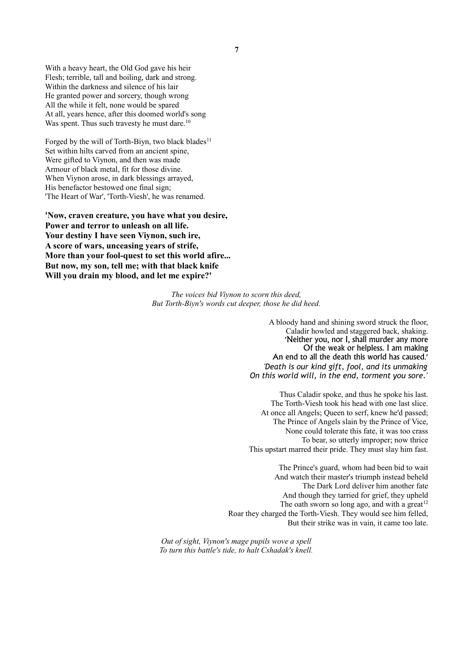With a heavy heart, the Old God gave his heir Flesh; terrible, tall and boiling, dark and strong. Within the darkness and silence of his lair He granted power and sorcery, though wrong All the while it felt, none would be spared At all, years hence, after this doomed world's song Was spent. Thus such travesty he must dare.<sup>10</sup>

Forged by the will of Torth-Biyn, two black blades<sup>11</sup> Set within hilts carved from an ancient spine, Were gifted to Viynon, and then was made Armour of black metal, fit for those divine. When Viynon arose, in dark blessings arrayed, His benefactor bestowed one final sign; 'The Heart of War', 'Torth-Viesh', he was renamed.

**'Now, craven creature, you have what you desire, Power and terror to unleash on all life. Your destiny I have seen Viynon, such ire, A score of wars, unceasing years of strife, More than your fool-quest to set this world afire... But now, my son, tell me; with that black knife Will you drain my blood, and let me expire?'**

> *The voices bid Viynon to scorn this deed, But Torth-Biyn's words cut deeper, those he did heed.*

> > A bloody hand and shining sword struck the floor, Caladir howled and staggered back, shaking. 'Neither you, nor I, shall murder any more Of the weak or helpless. I am making An end to all the death this world has caused.' *'Death is our kind gift, fool, and its unmaking On this world will, in the end, torment you sore.'*

> > Thus Caladir spoke, and thus he spoke his last. The Torth-Viesh took his head with one last slice. At once all Angels; Queen to serf, knew he'd passed; The Prince of Angels slain by the Prince of Vice, None could tolerate this fate, it was too crass To bear, so utterly improper; now thrice This upstart marred their pride. They must slay him fast.

The Prince's guard, whom had been bid to wait And watch their master's triumph instead beheld The Dark Lord deliver him another fate And though they tarried for grief, they upheld The oath sworn so long ago, and with a great $12$ Roar they charged the Torth-Viesh. They would see him felled, But their strike was in vain, it came too late.

*Out of sight, Viynon's mage pupils wove a spell To turn this battle's tide, to halt Cshadak's knell.*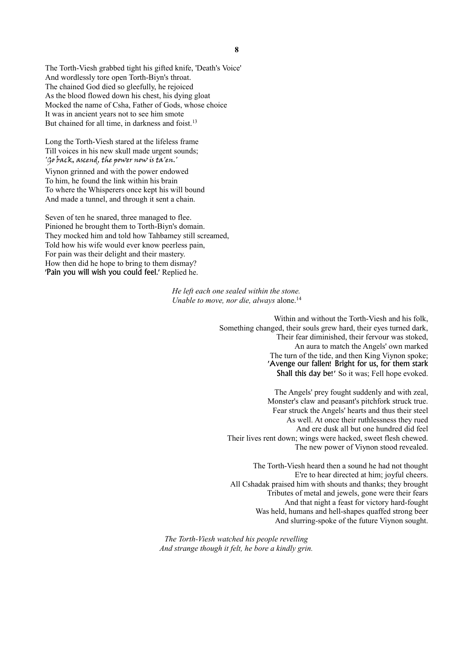The Torth-Viesh grabbed tight his gifted knife, 'Death's Voice' And wordlessly tore open Torth-Biyn's throat. The chained God died so gleefully, he rejoiced As the blood flowed down his chest, his dying gloat Mocked the name of Csha, Father of Gods, whose choice It was in ancient years not to see him smote But chained for all time, in darkness and foist.<sup>13</sup>

Long the Torth-Viesh stared at the lifeless frame Till voices in his new skull made urgent sounds; 'Go back, ascend, the power now is ta'en.'

Viynon grinned and with the power endowed To him, he found the link within his brain To where the Whisperers once kept his will bound And made a tunnel, and through it sent a chain.

Seven of ten he snared, three managed to flee. Pinioned he brought them to Torth-Biyn's domain. They mocked him and told how Tahbamey still screamed, Told how his wife would ever know peerless pain, For pain was their delight and their mastery. How then did he hope to bring to them dismay? 'Pain you will wish you could feel.' Replied he.

> *He left each one sealed within the stone. Unable to move, nor die, always alone.*<sup>14</sup>

> > Within and without the Torth-Viesh and his folk, Something changed, their souls grew hard, their eyes turned dark, Their fear diminished, their fervour was stoked, An aura to match the Angels' own marked The turn of the tide, and then King Viynon spoke; 'Avenge our fallen! Bright for us, for them stark Shall this day be!' So it was; Fell hope evoked.

The Angels' prey fought suddenly and with zeal, Monster's claw and peasant's pitchfork struck true. Fear struck the Angels' hearts and thus their steel As well. At once their ruthlessness they rued And ere dusk all but one hundred did feel Their lives rent down; wings were hacked, sweet flesh chewed. The new power of Viynon stood revealed.

The Torth-Viesh heard then a sound he had not thought E're to hear directed at him; joyful cheers. All Cshadak praised him with shouts and thanks; they brought Tributes of metal and jewels, gone were their fears And that night a feast for victory hard-fought Was held, humans and hell-shapes quaffed strong beer And slurring-spoke of the future Viynon sought.

*The Torth-Viesh watched his people revelling And strange though it felt, he bore a kindly grin.*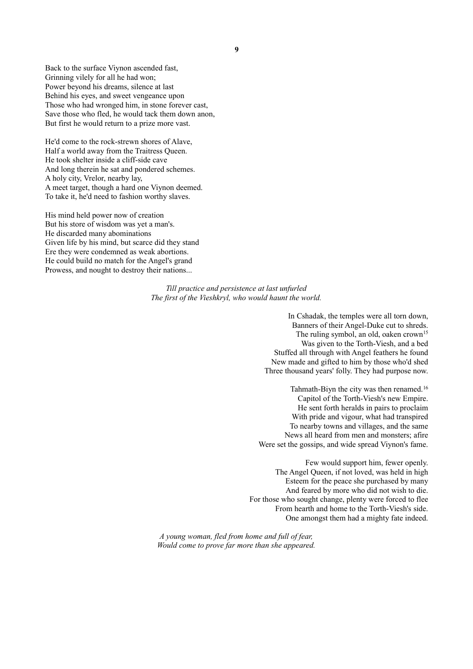Back to the surface Viynon ascended fast, Grinning vilely for all he had won; Power beyond his dreams, silence at last Behind his eyes, and sweet vengeance upon Those who had wronged him, in stone forever cast, Save those who fled, he would tack them down anon, But first he would return to a prize more vast.

He'd come to the rock-strewn shores of Alave, Half a world away from the Traitress Queen. He took shelter inside a cliff-side cave And long therein he sat and pondered schemes. A holy city, Vrelor, nearby lay, A meet target, though a hard one Viynon deemed. To take it, he'd need to fashion worthy slaves.

His mind held power now of creation But his store of wisdom was yet a man's. He discarded many abominations Given life by his mind, but scarce did they stand Ere they were condemned as weak abortions. He could build no match for the Angel's grand Prowess, and nought to destroy their nations...

> *Till practice and persistence at last unfurled The first of the Vieshkryl, who would haunt the world.*

> > In Cshadak, the temples were all torn down, Banners of their Angel-Duke cut to shreds. The ruling symbol, an old, oaken crown<sup>15</sup> Was given to the Torth-Viesh, and a bed Stuffed all through with Angel feathers he found New made and gifted to him by those who'd shed Three thousand years' folly. They had purpose now.

Tahmath-Biyn the city was then renamed.<sup>16</sup> Capitol of the Torth-Viesh's new Empire. He sent forth heralds in pairs to proclaim With pride and vigour, what had transpired To nearby towns and villages, and the same News all heard from men and monsters; afire Were set the gossips, and wide spread Viynon's fame.

Few would support him, fewer openly. The Angel Queen, if not loved, was held in high Esteem for the peace she purchased by many And feared by more who did not wish to die. For those who sought change, plenty were forced to flee From hearth and home to the Torth-Viesh's side. One amongst them had a mighty fate indeed.

*A young woman, fled from home and full of fear, Would come to prove far more than she appeared.*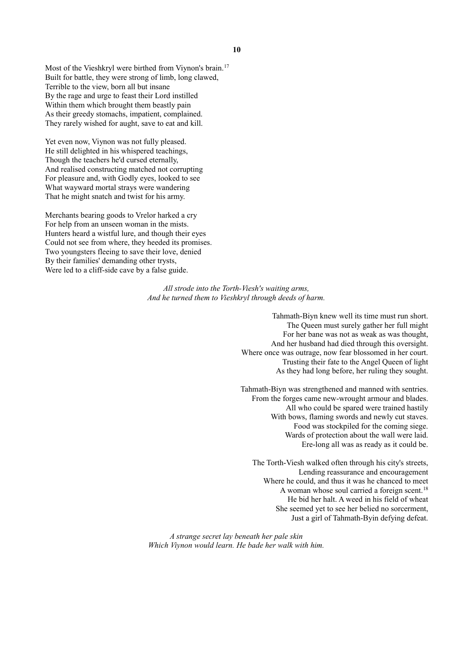Most of the Vieshkryl were birthed from Viynon's brain.<sup>17</sup> Built for battle, they were strong of limb, long clawed, Terrible to the view, born all but insane By the rage and urge to feast their Lord instilled Within them which brought them beastly pain As their greedy stomachs, impatient, complained. They rarely wished for aught, save to eat and kill.

Yet even now, Viynon was not fully pleased. He still delighted in his whispered teachings, Though the teachers he'd cursed eternally, And realised constructing matched not corrupting For pleasure and, with Godly eyes, looked to see What wayward mortal strays were wandering That he might snatch and twist for his army.

Merchants bearing goods to Vrelor harked a cry For help from an unseen woman in the mists. Hunters heard a wistful lure, and though their eyes Could not see from where, they heeded its promises. Two youngsters fleeing to save their love, denied By their families' demanding other trysts, Were led to a cliff-side cave by a false guide.

> *All strode into the Torth-Viesh's waiting arms, And he turned them to Vieshkryl through deeds of harm.*

> > Tahmath-Biyn knew well its time must run short. The Queen must surely gather her full might For her bane was not as weak as was thought, And her husband had died through this oversight. Where once was outrage, now fear blossomed in her court. Trusting their fate to the Angel Queen of light As they had long before, her ruling they sought.

> > Tahmath-Biyn was strengthened and manned with sentries. From the forges came new-wrought armour and blades. All who could be spared were trained hastily With bows, flaming swords and newly cut staves. Food was stockpiled for the coming siege. Wards of protection about the wall were laid. Ere-long all was as ready as it could be.

The Torth-Viesh walked often through his city's streets, Lending reassurance and encouragement Where he could, and thus it was he chanced to meet A woman whose soul carried a foreign scent.<sup>18</sup> He bid her halt. A weed in his field of wheat She seemed yet to see her belied no sorcerment, Just a girl of Tahmath-Byin defying defeat.

*A strange secret lay beneath her pale skin Which Viynon would learn. He bade her walk with him.*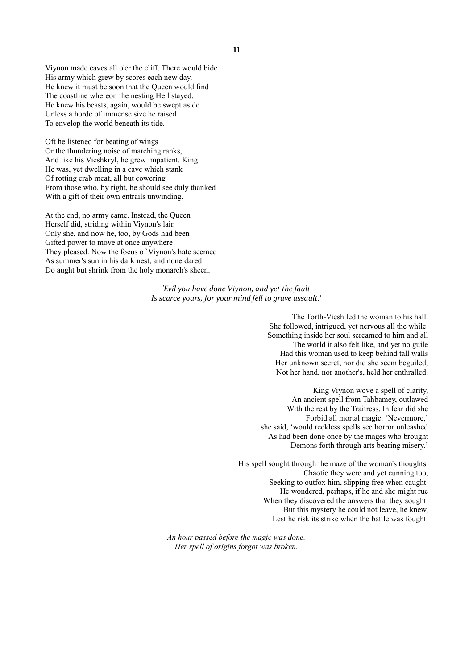Viynon made caves all o'er the cliff. There would bide His army which grew by scores each new day. He knew it must be soon that the Queen would find The coastline whereon the nesting Hell stayed. He knew his beasts, again, would be swept aside Unless a horde of immense size he raised To envelop the world beneath its tide.

Oft he listened for beating of wings Or the thundering noise of marching ranks, And like his Vieshkryl, he grew impatient. King He was, yet dwelling in a cave which stank Of rotting crab meat, all but cowering From those who, by right, he should see duly thanked With a gift of their own entrails unwinding.

At the end, no army came. Instead, the Queen Herself did, striding within Viynon's lair. Only she, and now he, too, by Gods had been Gifted power to move at once anywhere They pleased. Now the focus of Viynon's hate seemed As summer's sun in his dark nest, and none dared Do aught but shrink from the holy monarch's sheen.

> *'Evil you have done Viynon, and yet the fault Is scarce yours, for your mind fell to grave assault.'*

> > The Torth-Viesh led the woman to his hall. She followed, intrigued, yet nervous all the while. Something inside her soul screamed to him and all The world it also felt like, and yet no guile Had this woman used to keep behind tall walls Her unknown secret, nor did she seem beguiled, Not her hand, nor another's, held her enthralled.

King Viynon wove a spell of clarity, An ancient spell from Tahbamey, outlawed With the rest by the Traitress. In fear did she Forbid all mortal magic. 'Nevermore,' she said, 'would reckless spells see horror unleashed As had been done once by the mages who brought Demons forth through arts bearing misery.'

His spell sought through the maze of the woman's thoughts. Chaotic they were and yet cunning too, Seeking to outfox him, slipping free when caught. He wondered, perhaps, if he and she might rue When they discovered the answers that they sought. But this mystery he could not leave, he knew, Lest he risk its strike when the battle was fought.

*An hour passed before the magic was done. Her spell of origins forgot was broken.*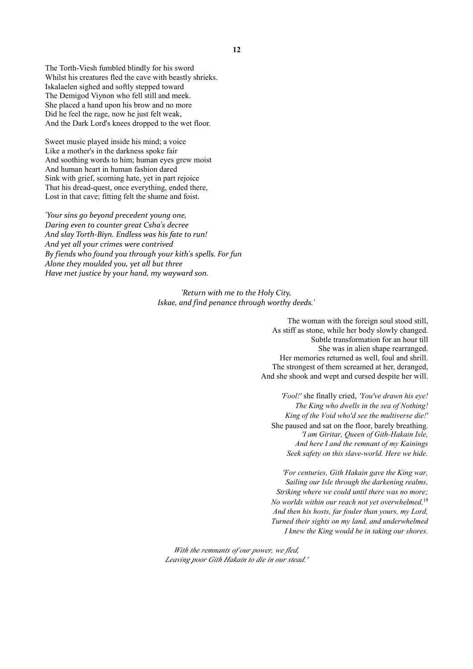Sweet music played inside his mind; a voice Like a mother's in the darkness spoke fair And soothing words to him; human eyes grew moist And human heart in human fashion dared Sink with grief, scorning hate, yet in part rejoice That his dread-quest, once everything, ended there, Lost in that cave; fitting felt the shame and foist.

*'Your sins go beyond precedent young one, Daring even to counter great Csha's decree And slay Torth-Biyn. Endless was his fate to run! And yet all your crimes were contrived By fiends who found you through your kith's spells. For fun Alone they moulded you, yet all but three Have met justice by your hand, my wayward son.*

> *'Return with me to the Holy City, Iskae, and find penance through worthy deeds.'*

> > The woman with the foreign soul stood still, As stiff as stone, while her body slowly changed. Subtle transformation for an hour till She was in alien shape rearranged. Her memories returned as well, foul and shrill. The strongest of them screamed at her, deranged, And she shook and wept and cursed despite her will.

'Fool!' she finally cried, 'You've drawn his eye! The King who dwells in the sea of Nothing! King of the Void who'd see the multiverse die!' She paused and sat on the floor, barely breathing. 'I am Giritar, Queen of Gith-Hakain Isle, And here I and the remnant of my Kainings Seek safety on this slave-world. Here we hide.

'For centuries, Gith Hakain gave the King war, Sailing our Isle through the darkening realms, Striking where we could until there was no more; No worlds within our reach not yet overwhelmed, 19 And then his hosts, far fouler than yours, my Lord, Turned their sights on my land, and underwhelmed I knew the King would be in taking our shores.

With the remnants of our power, we fled, Leaving poor Gith Hakain to die in our stead.'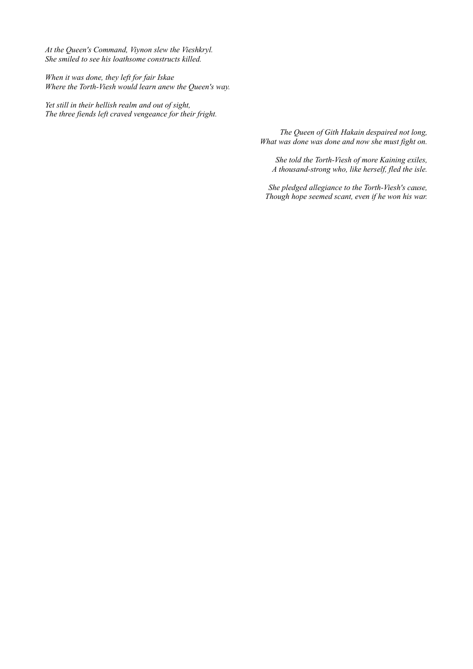*At the Queen's Command, Viynon slew the Vieshkryl. She smiled to see his loathsome constructs killed.*

*When it was done, they left for fair Iskae Where the Torth-Viesh would learn anew the Queen's way.*

*Yet still in their hellish realm and out of sight, The three fiends left craved vengeance for their fright.*

> *The Queen of Gith Hakain despaired not long, What was done was done and now she must fight on.*

*She told the Torth-Viesh of more Kaining exiles, A thousand-strong who, like herself, fled the isle.*

*She pledged allegiance to the Torth-Viesh's cause, Though hope seemed scant, even if he won his war.*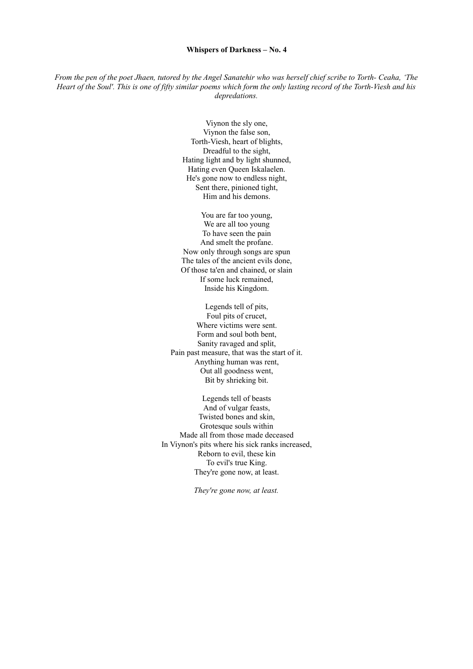#### **Whispers of Darkness – No. 4**

*From the pen of the poet Jhaen, tutored by the Angel Sanatehir who was herself chief scribe to Torth- Ceaha, 'The Heart of the Soul'. This is one of fifty similar poems which form the only lasting record of the Torth-Viesh and his depredations.*

> Viynon the sly one, Viynon the false son, Torth-Viesh, heart of blights, Dreadful to the sight, Hating light and by light shunned, Hating even Queen Iskalaelen. He's gone now to endless night, Sent there, pinioned tight, Him and his demons.

You are far too young, We are all too young To have seen the pain And smelt the profane. Now only through songs are spun The tales of the ancient evils done, Of those ta'en and chained, or slain If some luck remained, Inside his Kingdom.

Legends tell of pits, Foul pits of crucet, Where victims were sent. Form and soul both bent, Sanity ravaged and split, Pain past measure, that was the start of it. Anything human was rent, Out all goodness went, Bit by shrieking bit.

Legends tell of beasts And of vulgar feasts, Twisted bones and skin, Grotesque souls within Made all from those made deceased In Viynon's pits where his sick ranks increased, Reborn to evil, these kin To evil's true King. They're gone now, at least.

*They're gone now, at least.*